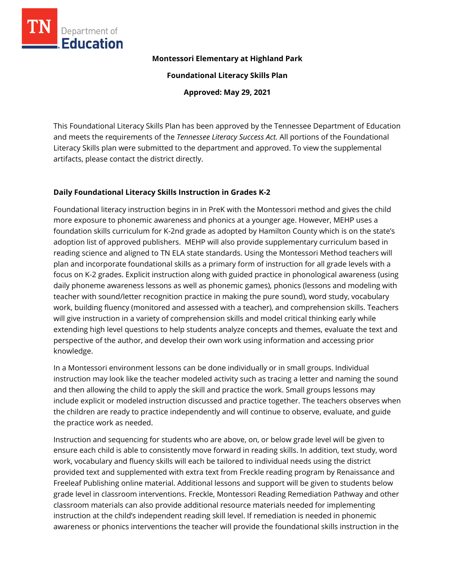

#### **Montessori Elementary at Highland Park**

**Foundational Literacy Skills Plan**

**Approved: May 29, 2021**

This Foundational Literacy Skills Plan has been approved by the Tennessee Department of Education and meets the requirements of the *Tennessee Literacy Success Act.* All portions of the Foundational Literacy Skills plan were submitted to the department and approved. To view the supplemental artifacts, please contact the district directly.

## **Daily Foundational Literacy Skills Instruction in Grades K-2**

Foundational literacy instruction begins in in PreK with the Montessori method and gives the child more exposure to phonemic awareness and phonics at a younger age. However, MEHP uses a foundation skills curriculum for K-2nd grade as adopted by Hamilton County which is on the state's adoption list of approved publishers. MEHP will also provide supplementary curriculum based in reading science and aligned to TN ELA state standards. Using the Montessori Method teachers will plan and incorporate foundational skills as a primary form of instruction for all grade levels with a focus on K-2 grades. Explicit instruction along with guided practice in phonological awareness (using daily phoneme awareness lessons as well as phonemic games), phonics (lessons and modeling with teacher with sound/letter recognition practice in making the pure sound), word study, vocabulary work, building fluency (monitored and assessed with a teacher), and comprehension skills. Teachers will give instruction in a variety of comprehension skills and model critical thinking early while extending high level questions to help students analyze concepts and themes, evaluate the text and perspective of the author, and develop their own work using information and accessing prior knowledge.

In a Montessori environment lessons can be done individually or in small groups. Individual instruction may look like the teacher modeled activity such as tracing a letter and naming the sound and then allowing the child to apply the skill and practice the work. Small groups lessons may include explicit or modeled instruction discussed and practice together. The teachers observes when the children are ready to practice independently and will continue to observe, evaluate, and guide the practice work as needed.

Instruction and sequencing for students who are above, on, or below grade level will be given to ensure each child is able to consistently move forward in reading skills. In addition, text study, word work, vocabulary and fluency skills will each be tailored to individual needs using the district provided text and supplemented with extra text from Freckle reading program by Renaissance and Freeleaf Publishing online material. Additional lessons and support will be given to students below grade level in classroom interventions. Freckle, Montessori Reading Remediation Pathway and other classroom materials can also provide additional resource materials needed for implementing instruction at the child's independent reading skill level. If remediation is needed in phonemic awareness or phonics interventions the teacher will provide the foundational skills instruction in the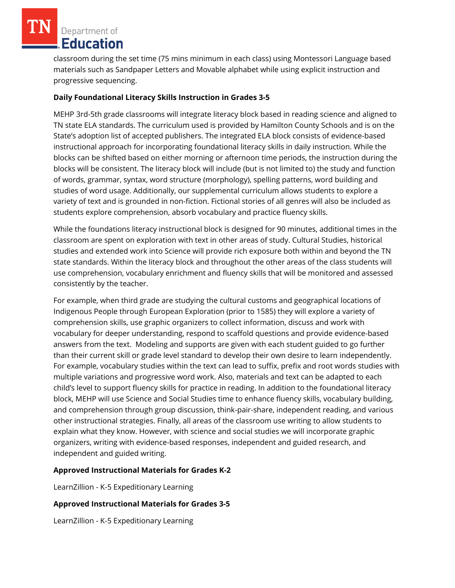classroom during the set time (75 mins minimum in each class) using Montessori Language based materials such as Sandpaper Letters and Movable alphabet while using explicit instruction and progressive sequencing.

# **Daily Foundational Literacy Skills Instruction in Grades 3-5**

MEHP 3rd-5th grade classrooms will integrate literacy block based in reading science and aligned to TN state ELA standards. The curriculum used is provided by Hamilton County Schools and is on the State's adoption list of accepted publishers. The integrated ELA block consists of evidence-based instructional approach for incorporating foundational literacy skills in daily instruction. While the blocks can be shifted based on either morning or afternoon time periods, the instruction during the blocks will be consistent. The literacy block will include (but is not limited to) the study and function of words, grammar, syntax, word structure (morphology), spelling patterns, word building and studies of word usage. Additionally, our supplemental curriculum allows students to explore a variety of text and is grounded in non-fiction. Fictional stories of all genres will also be included as students explore comprehension, absorb vocabulary and practice fluency skills.

While the foundations literacy instructional block is designed for 90 minutes, additional times in the classroom are spent on exploration with text in other areas of study. Cultural Studies, historical studies and extended work into Science will provide rich exposure both within and beyond the TN state standards. Within the literacy block and throughout the other areas of the class students will use comprehension, vocabulary enrichment and fluency skills that will be monitored and assessed consistently by the teacher.

For example, when third grade are studying the cultural customs and geographical locations of Indigenous People through European Exploration (prior to 1585) they will explore a variety of comprehension skills, use graphic organizers to collect information, discuss and work with vocabulary for deeper understanding, respond to scaffold questions and provide evidence-based answers from the text. Modeling and supports are given with each student guided to go further than their current skill or grade level standard to develop their own desire to learn independently. For example, vocabulary studies within the text can lead to suffix, prefix and root words studies with multiple variations and progressive word work. Also, materials and text can be adapted to each child's level to support fluency skills for practice in reading. In addition to the foundational literacy block, MEHP will use Science and Social Studies time to enhance fluency skills, vocabulary building, and comprehension through group discussion, think-pair-share, independent reading, and various other instructional strategies. Finally, all areas of the classroom use writing to allow students to explain what they know. However, with science and social studies we will incorporate graphic organizers, writing with evidence-based responses, independent and guided research, and independent and guided writing.

## **Approved Instructional Materials for Grades K-2**

LearnZillion - K-5 Expeditionary Learning

## **Approved Instructional Materials for Grades 3-5**

LearnZillion - K-5 Expeditionary Learning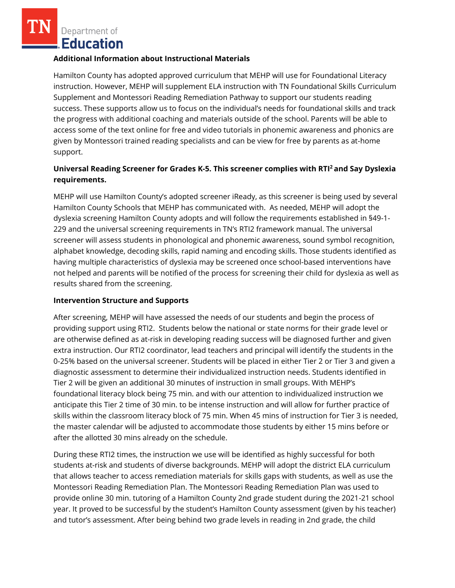#### **Additional Information about Instructional Materials**

Hamilton County has adopted approved curriculum that MEHP will use for Foundational Literacy instruction. However, MEHP will supplement ELA instruction with TN Foundational Skills Curriculum Supplement and Montessori Reading Remediation Pathway to support our students reading success. These supports allow us to focus on the individual's needs for foundational skills and track the progress with additional coaching and materials outside of the school. Parents will be able to access some of the text online for free and video tutorials in phonemic awareness and phonics are given by Montessori trained reading specialists and can be view for free by parents as at-home support.

# **Universal Reading Screener for Grades K-5. This screener complies with RTI<sup>2</sup>and Say Dyslexia requirements.**

MEHP will use Hamilton County's adopted screener iReady, as this screener is being used by several Hamilton County Schools that MEHP has communicated with. As needed, MEHP will adopt the dyslexia screening Hamilton County adopts and will follow the requirements established in §49-1- 229 and the universal screening requirements in TN's RTI2 framework manual. The universal screener will assess students in phonological and phonemic awareness, sound symbol recognition, alphabet knowledge, decoding skills, rapid naming and encoding skills. Those students identified as having multiple characteristics of dyslexia may be screened once school-based interventions have not helped and parents will be notified of the process for screening their child for dyslexia as well as results shared from the screening.

## **Intervention Structure and Supports**

After screening, MEHP will have assessed the needs of our students and begin the process of providing support using RTI2. Students below the national or state norms for their grade level or are otherwise defined as at-risk in developing reading success will be diagnosed further and given extra instruction. Our RTI2 coordinator, lead teachers and principal will identify the students in the 0-25% based on the universal screener. Students will be placed in either Tier 2 or Tier 3 and given a diagnostic assessment to determine their individualized instruction needs. Students identified in Tier 2 will be given an additional 30 minutes of instruction in small groups. With MEHP's foundational literacy block being 75 min. and with our attention to individualized instruction we anticipate this Tier 2 time of 30 min. to be intense instruction and will allow for further practice of skills within the classroom literacy block of 75 min. When 45 mins of instruction for Tier 3 is needed, the master calendar will be adjusted to accommodate those students by either 15 mins before or after the allotted 30 mins already on the schedule.

During these RTI2 times, the instruction we use will be identified as highly successful for both students at-risk and students of diverse backgrounds. MEHP will adopt the district ELA curriculum that allows teacher to access remediation materials for skills gaps with students, as well as use the Montessori Reading Remediation Plan. The Montessori Reading Remediation Plan was used to provide online 30 min. tutoring of a Hamilton County 2nd grade student during the 2021-21 school year. It proved to be successful by the student's Hamilton County assessment (given by his teacher) and tutor's assessment. After being behind two grade levels in reading in 2nd grade, the child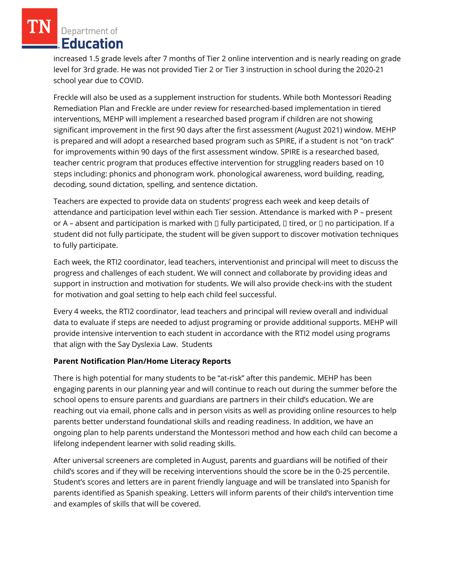increased 1.5 grade levels after 7 months of Tier 2 online intervention and is nearly reading on grade level for 3rd grade. He was not provided Tier 2 or Tier 3 instruction in school during the 2020-21 school year due to COVID.

Freckle will also be used as a supplement instruction for students. While both Montessori Reading Remediation Plan and Freckle are under review for researched-based implementation in tiered interventions, MEHP will implement a researched based program if children are not showing significant improvement in the first 90 days after the first assessment (August 2021) window. MEHP is prepared and will adopt a researched based program such as SPIRE, if a student is not "on track" for improvements within 90 days of the first assessment window. SPIRE is a researched based, teacher centric program that produces effective intervention for struggling readers based on 10 steps including: phonics and phonogram work. phonological awareness, word building, reading, decoding, sound dictation, spelling, and sentence dictation.

Teachers are expected to provide data on students' progress each week and keep details of attendance and participation level within each Tier session. Attendance is marked with P – present or A – absent and participation is marked with  $\Box$  fully participated,  $\Box$  tired, or  $\Box$  no participation. If a student did not fully participate, the student will be given support to discover motivation techniques to fully participate.

Each week, the RTI2 coordinator, lead teachers, interventionist and principal will meet to discuss the progress and challenges of each student. We will connect and collaborate by providing ideas and support in instruction and motivation for students. We will also provide check-ins with the student for motivation and goal setting to help each child feel successful.

Every 4 weeks, the RTI2 coordinator, lead teachers and principal will review overall and individual data to evaluate if steps are needed to adjust programing or provide additional supports. MEHP will provide intensive intervention to each student in accordance with the RTI2 model using programs that align with the Say Dyslexia Law. Students

## **Parent Notification Plan/Home Literacy Reports**

There is high potential for many students to be "at-risk" after this pandemic. MEHP has been engaging parents in our planning year and will continue to reach out during the summer before the school opens to ensure parents and guardians are partners in their child's education. We are reaching out via email, phone calls and in person visits as well as providing online resources to help parents better understand foundational skills and reading readiness. In addition, we have an ongoing plan to help parents understand the Montessori method and how each child can become a lifelong independent learner with solid reading skills.

After universal screeners are completed in August, parents and guardians will be notified of their child's scores and if they will be receiving interventions should the score be in the 0-25 percentile. Student's scores and letters are in parent friendly language and will be translated into Spanish for parents identified as Spanish speaking. Letters will inform parents of their child's intervention time and examples of skills that will be covered.